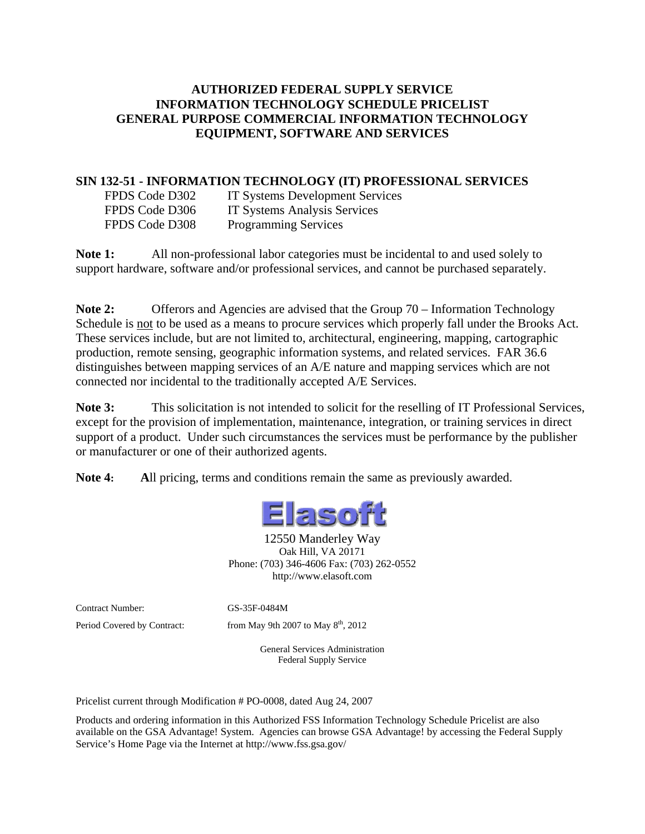#### **AUTHORIZED FEDERAL SUPPLY SERVICE INFORMATION TECHNOLOGY SCHEDULE PRICELIST GENERAL PURPOSE COMMERCIAL INFORMATION TECHNOLOGY EQUIPMENT, SOFTWARE AND SERVICES**

#### **SIN 132-51 - INFORMATION TECHNOLOGY (IT) PROFESSIONAL SERVICES**

FPDS Code D302 IT Systems Development Services FPDS Code D306 IT Systems Analysis Services FPDS Code D308 Programming Services

Note 1: All non-professional labor categories must be incidental to and used solely to support hardware, software and/or professional services, and cannot be purchased separately.

**Note 2:** Offerors and Agencies are advised that the Group 70 – Information Technology Schedule is <u>not</u> to be used as a means to procure services which properly fall under the Brooks Act. These services include, but are not limited to, architectural, engineering, mapping, cartographic production, remote sensing, geographic information systems, and related services. FAR 36.6 distinguishes between mapping services of an A/E nature and mapping services which are not connected nor incidental to the traditionally accepted A/E Services.

**Note 3:** This solicitation is not intended to solicit for the reselling of IT Professional Services, except for the provision of implementation, maintenance, integration, or training services in direct support of a product. Under such circumstances the services must be performance by the publisher or manufacturer or one of their authorized agents.

**Note 4: A**ll pricing, terms and conditions remain the same as previously awarded.



12550 Manderley Way Oak Hill, VA 20171 Phone: (703) 346-4606 Fax: (703) 262-0552 http://www.elasoft.com

Contract Number: GS-35F-0484M

Period Covered by Contract: from May 9th 2007 to May  $8<sup>th</sup>$ , 2012

General Services Administration Federal Supply Service

Pricelist current through Modification # PO-0008, dated Aug 24, 2007

Products and ordering information in this Authorized FSS Information Technology Schedule Pricelist are also available on the GSA Advantage! System. Agencies can browse GSA Advantage! by accessing the Federal Supply Service's Home Page via the Internet at http://www.fss.gsa.gov/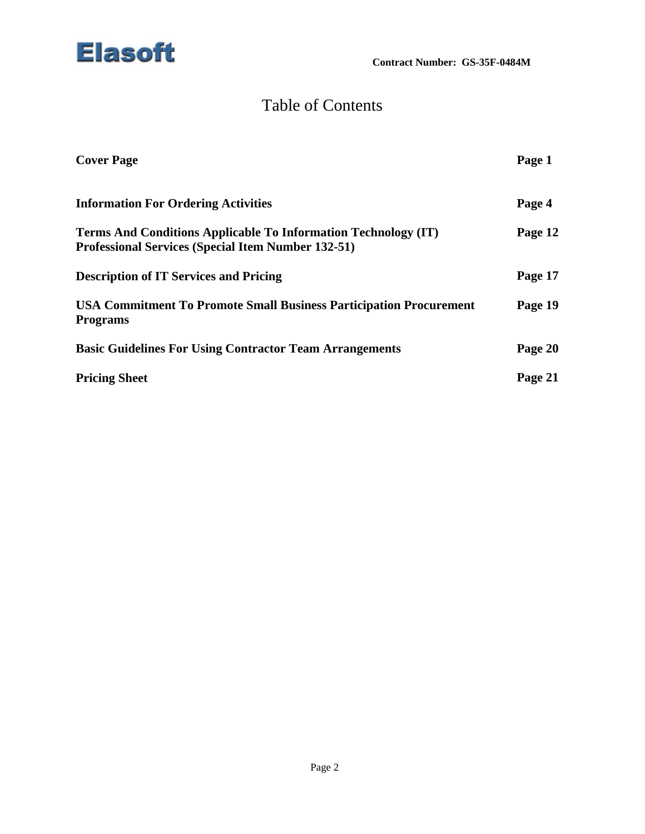

# Table of Contents

| <b>Cover Page</b>                                                                                                           | Page 1  |
|-----------------------------------------------------------------------------------------------------------------------------|---------|
| <b>Information For Ordering Activities</b>                                                                                  | Page 4  |
| Terms And Conditions Applicable To Information Technology (IT)<br><b>Professional Services (Special Item Number 132-51)</b> | Page 12 |
| <b>Description of IT Services and Pricing</b>                                                                               | Page 17 |
| <b>USA Commitment To Promote Small Business Participation Procurement</b><br><b>Programs</b>                                | Page 19 |
| <b>Basic Guidelines For Using Contractor Team Arrangements</b>                                                              | Page 20 |
| <b>Pricing Sheet</b>                                                                                                        | Page 21 |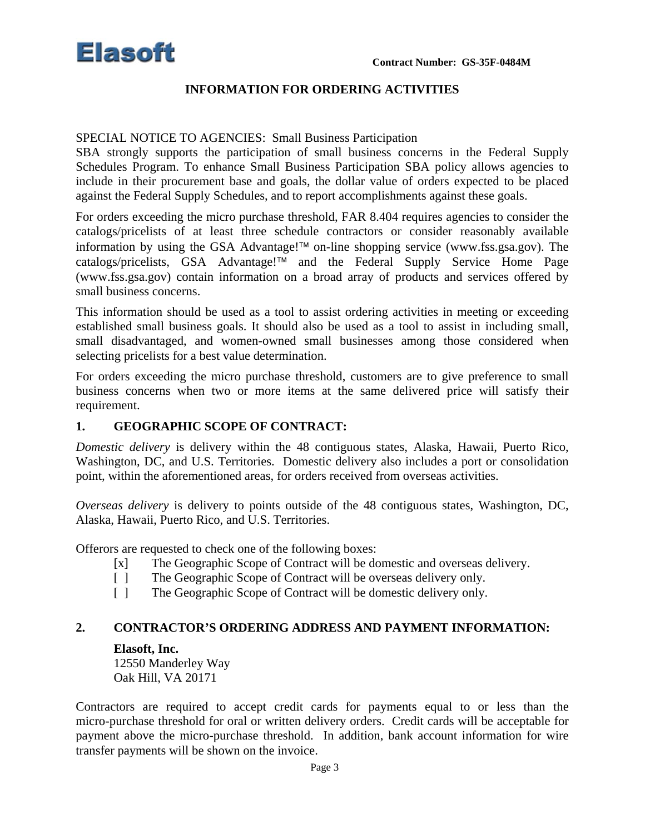

#### **INFORMATION FOR ORDERING ACTIVITIES**

#### SPECIAL NOTICE TO AGENCIES: Small Business Participation

SBA strongly supports the participation of small business concerns in the Federal Supply Schedules Program. To enhance Small Business Participation SBA policy allows agencies to include in their procurement base and goals, the dollar value of orders expected to be placed against the Federal Supply Schedules, and to report accomplishments against these goals.

For orders exceeding the micro purchase threshold, FAR 8.404 requires agencies to consider the catalogs/pricelists of at least three schedule contractors or consider reasonably available information by using the GSA Advantage!<sup> $TM$ </sup> on-line shopping service (www.fss.gsa.gov). The  $catalogs/pricelists$ , GSA Advantage!<sup> $TM$ </sup> and the Federal Supply Service Home Page (www.fss.gsa.gov) contain information on a broad array of products and services offered by small business concerns.

This information should be used as a tool to assist ordering activities in meeting or exceeding established small business goals. It should also be used as a tool to assist in including small, small disadvantaged, and women-owned small businesses among those considered when selecting pricelists for a best value determination.

For orders exceeding the micro purchase threshold, customers are to give preference to small business concerns when two or more items at the same delivered price will satisfy their requirement.

#### **1. GEOGRAPHIC SCOPE OF CONTRACT:**

*Domestic delivery* is delivery within the 48 contiguous states, Alaska, Hawaii, Puerto Rico, Washington, DC, and U.S. Territories. Domestic delivery also includes a port or consolidation point, within the aforementioned areas, for orders received from overseas activities.

*Overseas delivery* is delivery to points outside of the 48 contiguous states, Washington, DC, Alaska, Hawaii, Puerto Rico, and U.S. Territories.

Offerors are requested to check one of the following boxes:

- [x] The Geographic Scope of Contract will be domestic and overseas delivery.
- [ ] The Geographic Scope of Contract will be overseas delivery only.
- [ ] The Geographic Scope of Contract will be domestic delivery only.

#### **2. CONTRACTOR'S ORDERING ADDRESS AND PAYMENT INFORMATION:**

#### **Elasoft, Inc.**

12550 Manderley Way Oak Hill, VA 20171

Contractors are required to accept credit cards for payments equal to or less than the micro-purchase threshold for oral or written delivery orders. Credit cards will be acceptable for payment above the micro-purchase threshold. In addition, bank account information for wire transfer payments will be shown on the invoice.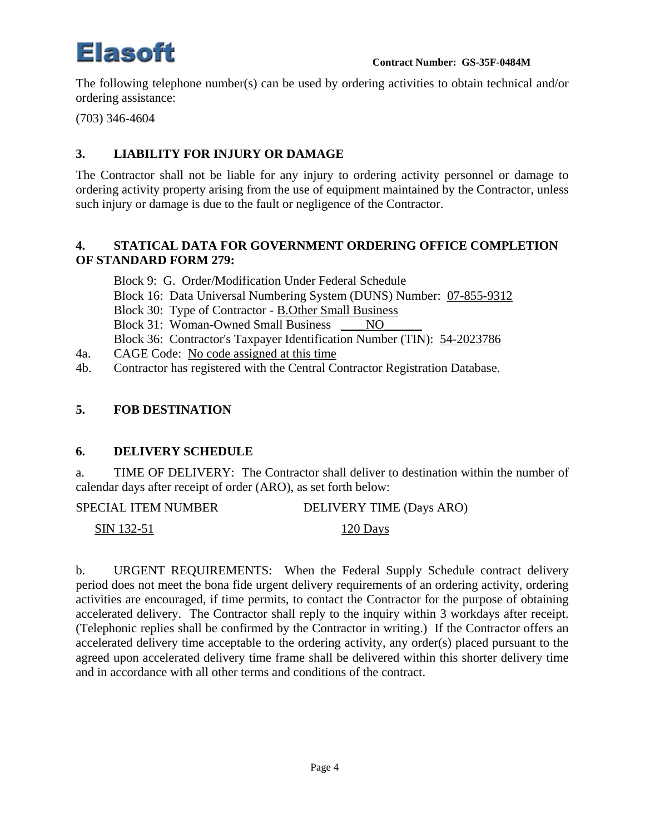

The following telephone number(s) can be used by ordering activities to obtain technical and/or ordering assistance:

(703) 346-4604

# **3. LIABILITY FOR INJURY OR DAMAGE**

The Contractor shall not be liable for any injury to ordering activity personnel or damage to ordering activity property arising from the use of equipment maintained by the Contractor, unless such injury or damage is due to the fault or negligence of the Contractor.

#### **4. STATICAL DATA FOR GOVERNMENT ORDERING OFFICE COMPLETION OF STANDARD FORM 279:**

Block 9: G. Order/Modification Under Federal Schedule Block 16: Data Universal Numbering System (DUNS) Number: 07-855-9312 Block 30: Type of Contractor - B.Other Small Business Block 31: Woman-Owned Small Business \_\_\_\_\_NO\_ Block 36: Contractor's Taxpayer Identification Number (TIN): 54-2023786

- 4a. CAGE Code: No code assigned at this time
- 4b. Contractor has registered with the Central Contractor Registration Database.

### **5. FOB DESTINATION**

#### **6. DELIVERY SCHEDULE**

a. TIME OF DELIVERY: The Contractor shall deliver to destination within the number of calendar days after receipt of order (ARO), as set forth below:

SIN 132-51 120 Days

b. URGENT REQUIREMENTS: When the Federal Supply Schedule contract delivery period does not meet the bona fide urgent delivery requirements of an ordering activity, ordering activities are encouraged, if time permits, to contact the Contractor for the purpose of obtaining accelerated delivery. The Contractor shall reply to the inquiry within 3 workdays after receipt. (Telephonic replies shall be confirmed by the Contractor in writing.) If the Contractor offers an accelerated delivery time acceptable to the ordering activity, any order(s) placed pursuant to the agreed upon accelerated delivery time frame shall be delivered within this shorter delivery time and in accordance with all other terms and conditions of the contract.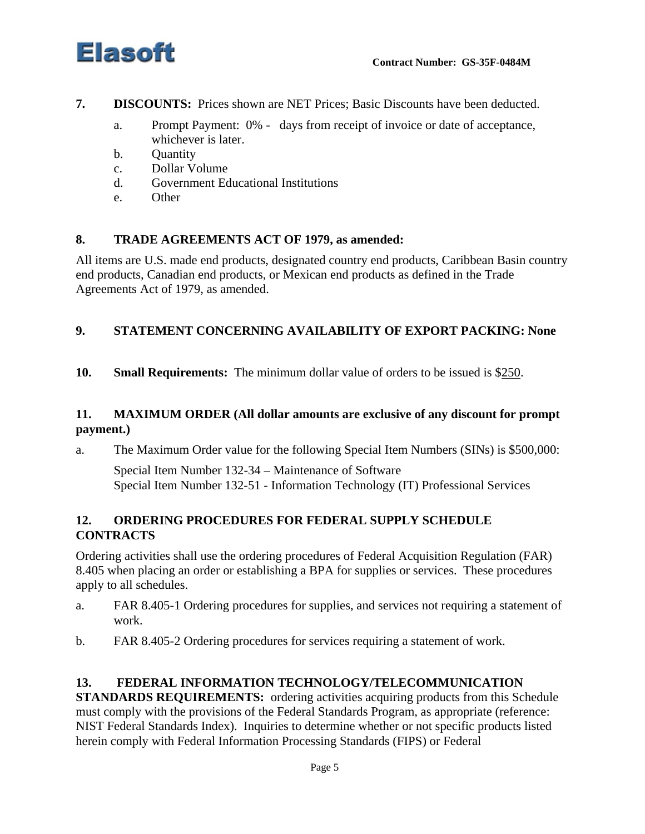



- **7. DISCOUNTS:** Prices shown are NET Prices; Basic Discounts have been deducted.
	- a. Prompt Payment: 0% days from receipt of invoice or date of acceptance, whichever is later.
	- b. Quantity
	- c. Dollar Volume
	- d. Government Educational Institutions
	- e. Other

# **8. TRADE AGREEMENTS ACT OF 1979, as amended:**

All items are U.S. made end products, designated country end products, Caribbean Basin country end products, Canadian end products, or Mexican end products as defined in the Trade Agreements Act of 1979, as amended.

# **9. STATEMENT CONCERNING AVAILABILITY OF EXPORT PACKING: None**

**10. Small Requirements:** The minimum dollar value of orders to be issued is \$250.

# **11. MAXIMUM ORDER (All dollar amounts are exclusive of any discount for prompt payment.)**

a. The Maximum Order value for the following Special Item Numbers (SINs) is \$500,000:

Special Item Number 132-34 – Maintenance of Software Special Item Number 132-51 - Information Technology (IT) Professional Services

# **12. ORDERING PROCEDURES FOR FEDERAL SUPPLY SCHEDULE CONTRACTS**

Ordering activities shall use the ordering procedures of Federal Acquisition Regulation (FAR) 8.405 when placing an order or establishing a BPA for supplies or services. These procedures apply to all schedules.

- a. FAR 8.405-1 Ordering procedures for supplies, and services not requiring a statement of work.
- b. FAR 8.405-2 Ordering procedures for services requiring a statement of work.

# **13. FEDERAL INFORMATION TECHNOLOGY/TELECOMMUNICATION**

**STANDARDS REQUIREMENTS:** ordering activities acquiring products from this Schedule must comply with the provisions of the Federal Standards Program, as appropriate (reference: NIST Federal Standards Index). Inquiries to determine whether or not specific products listed herein comply with Federal Information Processing Standards (FIPS) or Federal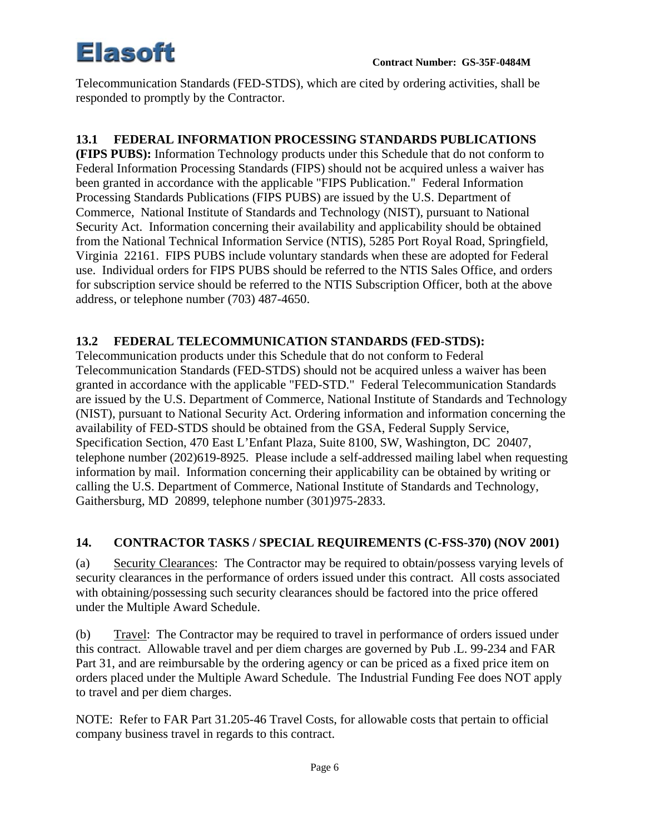Telecommunication Standards (FED-STDS), which are cited by ordering activities, shall be responded to promptly by the Contractor.

# **13.1 FEDERAL INFORMATION PROCESSING STANDARDS PUBLICATIONS**

**(FIPS PUBS):** Information Technology products under this Schedule that do not conform to Federal Information Processing Standards (FIPS) should not be acquired unless a waiver has been granted in accordance with the applicable "FIPS Publication." Federal Information Processing Standards Publications (FIPS PUBS) are issued by the U.S. Department of Commerce, National Institute of Standards and Technology (NIST), pursuant to National Security Act. Information concerning their availability and applicability should be obtained from the National Technical Information Service (NTIS), 5285 Port Royal Road, Springfield, Virginia 22161. FIPS PUBS include voluntary standards when these are adopted for Federal use. Individual orders for FIPS PUBS should be referred to the NTIS Sales Office, and orders for subscription service should be referred to the NTIS Subscription Officer, both at the above address, or telephone number (703) 487-4650.

### **13.2 FEDERAL TELECOMMUNICATION STANDARDS (FED-STDS):**

Telecommunication products under this Schedule that do not conform to Federal Telecommunication Standards (FED-STDS) should not be acquired unless a waiver has been granted in accordance with the applicable "FED-STD." Federal Telecommunication Standards are issued by the U.S. Department of Commerce, National Institute of Standards and Technology (NIST), pursuant to National Security Act. Ordering information and information concerning the availability of FED-STDS should be obtained from the GSA, Federal Supply Service, Specification Section, 470 East L'Enfant Plaza, Suite 8100, SW, Washington, DC 20407, telephone number (202)619-8925. Please include a self-addressed mailing label when requesting information by mail. Information concerning their applicability can be obtained by writing or calling the U.S. Department of Commerce, National Institute of Standards and Technology, Gaithersburg, MD 20899, telephone number (301)975-2833.

# **14. CONTRACTOR TASKS / SPECIAL REQUIREMENTS (C-FSS-370) (NOV 2001)**

(a) Security Clearances: The Contractor may be required to obtain/possess varying levels of security clearances in the performance of orders issued under this contract. All costs associated with obtaining/possessing such security clearances should be factored into the price offered under the Multiple Award Schedule.

(b) Travel: The Contractor may be required to travel in performance of orders issued under this contract. Allowable travel and per diem charges are governed by Pub .L. 99-234 and FAR Part 31, and are reimbursable by the ordering agency or can be priced as a fixed price item on orders placed under the Multiple Award Schedule. The Industrial Funding Fee does NOT apply to travel and per diem charges.

NOTE: Refer to FAR Part 31.205-46 Travel Costs, for allowable costs that pertain to official company business travel in regards to this contract.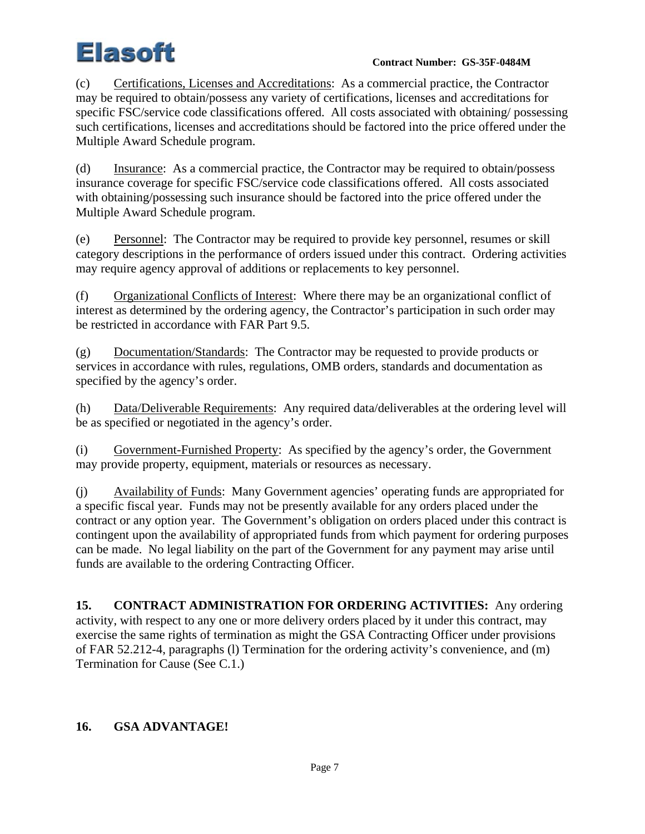(c) Certifications, Licenses and Accreditations: As a commercial practice, the Contractor may be required to obtain/possess any variety of certifications, licenses and accreditations for specific FSC/service code classifications offered. All costs associated with obtaining/ possessing such certifications, licenses and accreditations should be factored into the price offered under the Multiple Award Schedule program.

(d) Insurance: As a commercial practice, the Contractor may be required to obtain/possess insurance coverage for specific FSC/service code classifications offered. All costs associated with obtaining/possessing such insurance should be factored into the price offered under the Multiple Award Schedule program.

(e) Personnel: The Contractor may be required to provide key personnel, resumes or skill category descriptions in the performance of orders issued under this contract. Ordering activities may require agency approval of additions or replacements to key personnel.

(f) Organizational Conflicts of Interest: Where there may be an organizational conflict of interest as determined by the ordering agency, the Contractor's participation in such order may be restricted in accordance with FAR Part 9.5.

(g) Documentation/Standards: The Contractor may be requested to provide products or services in accordance with rules, regulations, OMB orders, standards and documentation as specified by the agency's order.

(h) Data/Deliverable Requirements: Any required data/deliverables at the ordering level will be as specified or negotiated in the agency's order.

(i) Government-Furnished Property: As specified by the agency's order, the Government may provide property, equipment, materials or resources as necessary.

(j) Availability of Funds: Many Government agencies' operating funds are appropriated for a specific fiscal year. Funds may not be presently available for any orders placed under the contract or any option year. The Government's obligation on orders placed under this contract is contingent upon the availability of appropriated funds from which payment for ordering purposes can be made. No legal liability on the part of the Government for any payment may arise until funds are available to the ordering Contracting Officer.

**15. CONTRACT ADMINISTRATION FOR ORDERING ACTIVITIES:** Any ordering activity, with respect to any one or more delivery orders placed by it under this contract, may exercise the same rights of termination as might the GSA Contracting Officer under provisions of FAR 52.212-4, paragraphs (l) Termination for the ordering activity's convenience, and (m) Termination for Cause (See C.1.)

# **16. GSA ADVANTAGE!**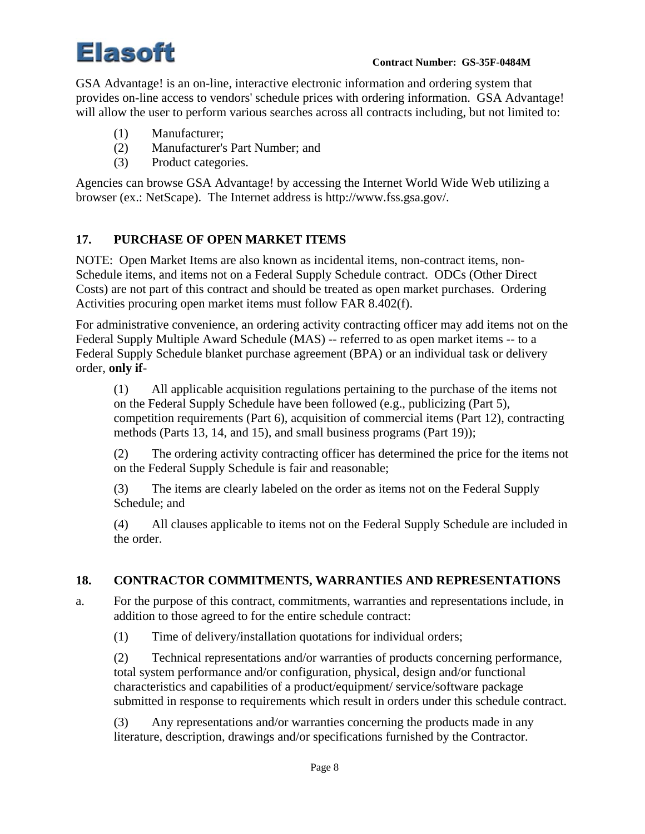GSA Advantage! is an on-line, interactive electronic information and ordering system that provides on-line access to vendors' schedule prices with ordering information. GSA Advantage! will allow the user to perform various searches across all contracts including, but not limited to:

- (1) Manufacturer;
- (2) Manufacturer's Part Number; and
- (3) Product categories.

Agencies can browse GSA Advantage! by accessing the Internet World Wide Web utilizing a browser (ex.: NetScape). The Internet address is http://www.fss.gsa.gov/.

### **17. PURCHASE OF OPEN MARKET ITEMS**

NOTE: Open Market Items are also known as incidental items, non-contract items, non-Schedule items, and items not on a Federal Supply Schedule contract. ODCs (Other Direct Costs) are not part of this contract and should be treated as open market purchases. Ordering Activities procuring open market items must follow FAR 8.402(f).

For administrative convenience, an ordering activity contracting officer may add items not on the Federal Supply Multiple Award Schedule (MAS) -- referred to as open market items -- to a Federal Supply Schedule blanket purchase agreement (BPA) or an individual task or delivery order, **only if**-

(1) All applicable acquisition regulations pertaining to the purchase of the items not on the Federal Supply Schedule have been followed (e.g., publicizing (Part 5), competition requirements (Part 6), acquisition of commercial items (Part 12), contracting methods (Parts 13, 14, and 15), and small business programs (Part 19));

(2) The ordering activity contracting officer has determined the price for the items not on the Federal Supply Schedule is fair and reasonable;

(3) The items are clearly labeled on the order as items not on the Federal Supply Schedule; and

(4) All clauses applicable to items not on the Federal Supply Schedule are included in the order.

#### **18. CONTRACTOR COMMITMENTS, WARRANTIES AND REPRESENTATIONS**

a. For the purpose of this contract, commitments, warranties and representations include, in addition to those agreed to for the entire schedule contract:

(1) Time of delivery/installation quotations for individual orders;

(2) Technical representations and/or warranties of products concerning performance, total system performance and/or configuration, physical, design and/or functional characteristics and capabilities of a product/equipment/ service/software package submitted in response to requirements which result in orders under this schedule contract.

(3) Any representations and/or warranties concerning the products made in any literature, description, drawings and/or specifications furnished by the Contractor.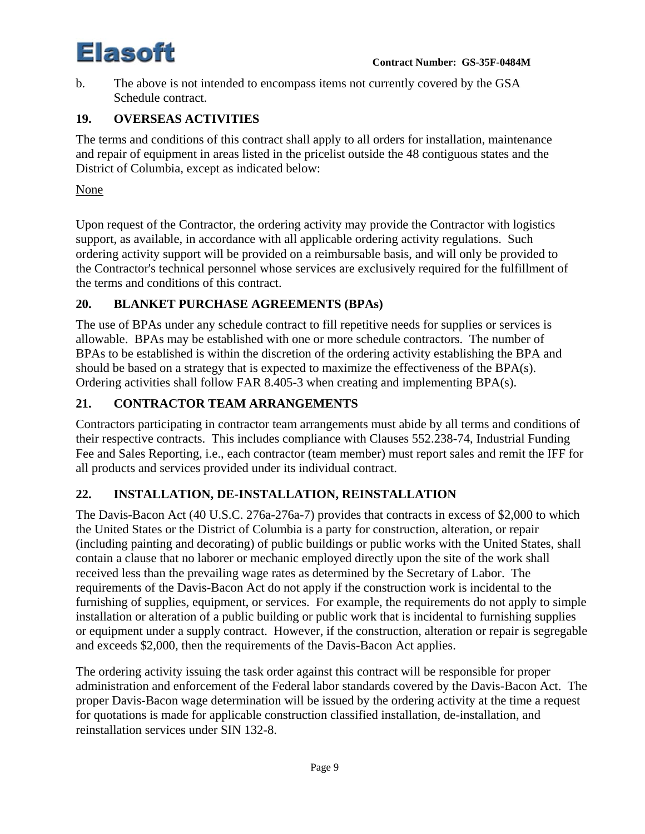b. The above is not intended to encompass items not currently covered by the GSA Schedule contract.

# **19. OVERSEAS ACTIVITIES**

The terms and conditions of this contract shall apply to all orders for installation, maintenance and repair of equipment in areas listed in the pricelist outside the 48 contiguous states and the District of Columbia, except as indicated below:

None

Upon request of the Contractor, the ordering activity may provide the Contractor with logistics support, as available, in accordance with all applicable ordering activity regulations. Such ordering activity support will be provided on a reimbursable basis, and will only be provided to the Contractor's technical personnel whose services are exclusively required for the fulfillment of the terms and conditions of this contract.

# **20. BLANKET PURCHASE AGREEMENTS (BPAs)**

The use of BPAs under any schedule contract to fill repetitive needs for supplies or services is allowable. BPAs may be established with one or more schedule contractors. The number of BPAs to be established is within the discretion of the ordering activity establishing the BPA and should be based on a strategy that is expected to maximize the effectiveness of the BPA(s). Ordering activities shall follow FAR 8.405-3 when creating and implementing BPA(s).

# **21. CONTRACTOR TEAM ARRANGEMENTS**

Contractors participating in contractor team arrangements must abide by all terms and conditions of their respective contracts. This includes compliance with Clauses 552.238-74, Industrial Funding Fee and Sales Reporting, i.e., each contractor (team member) must report sales and remit the IFF for all products and services provided under its individual contract.

# **22. INSTALLATION, DE-INSTALLATION, REINSTALLATION**

The Davis-Bacon Act (40 U.S.C. 276a-276a-7) provides that contracts in excess of \$2,000 to which the United States or the District of Columbia is a party for construction, alteration, or repair (including painting and decorating) of public buildings or public works with the United States, shall contain a clause that no laborer or mechanic employed directly upon the site of the work shall received less than the prevailing wage rates as determined by the Secretary of Labor. The requirements of the Davis-Bacon Act do not apply if the construction work is incidental to the furnishing of supplies, equipment, or services. For example, the requirements do not apply to simple installation or alteration of a public building or public work that is incidental to furnishing supplies or equipment under a supply contract. However, if the construction, alteration or repair is segregable and exceeds \$2,000, then the requirements of the Davis-Bacon Act applies.

The ordering activity issuing the task order against this contract will be responsible for proper administration and enforcement of the Federal labor standards covered by the Davis-Bacon Act. The proper Davis-Bacon wage determination will be issued by the ordering activity at the time a request for quotations is made for applicable construction classified installation, de-installation, and reinstallation services under SIN 132-8.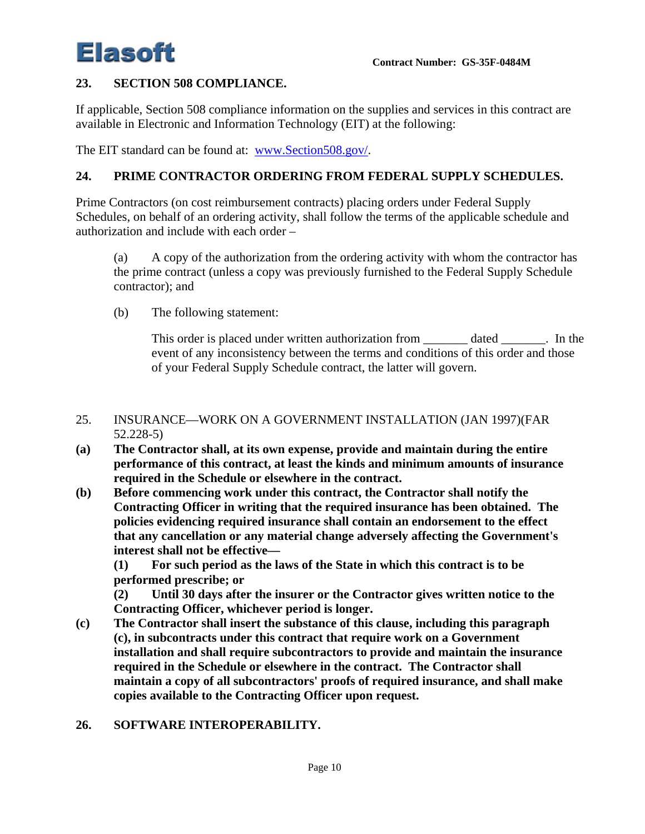#### **23. SECTION 508 COMPLIANCE.**

If applicable, Section 508 compliance information on the supplies and services in this contract are available in Electronic and Information Technology (EIT) at the following:

The EIT standard can be found at: www.Section508.gov/.

#### **24. PRIME CONTRACTOR ORDERING FROM FEDERAL SUPPLY SCHEDULES.**

Prime Contractors (on cost reimbursement contracts) placing orders under Federal Supply Schedules, on behalf of an ordering activity, shall follow the terms of the applicable schedule and authorization and include with each order –

(a) A copy of the authorization from the ordering activity with whom the contractor has the prime contract (unless a copy was previously furnished to the Federal Supply Schedule contractor); and

(b) The following statement:

This order is placed under written authorization from \_\_\_\_\_\_\_\_ dated \_\_\_\_\_\_\_. In the event of any inconsistency between the terms and conditions of this order and those of your Federal Supply Schedule contract, the latter will govern.

#### 25. INSURANCE—WORK ON A GOVERNMENT INSTALLATION (JAN 1997)(FAR 52.228-5)

- **(a) The Contractor shall, at its own expense, provide and maintain during the entire performance of this contract, at least the kinds and minimum amounts of insurance required in the Schedule or elsewhere in the contract.**
- **(b) Before commencing work under this contract, the Contractor shall notify the Contracting Officer in writing that the required insurance has been obtained. The policies evidencing required insurance shall contain an endorsement to the effect that any cancellation or any material change adversely affecting the Government's interest shall not be effective—**

**(1) For such period as the laws of the State in which this contract is to be performed prescribe; or** 

**(2) Until 30 days after the insurer or the Contractor gives written notice to the Contracting Officer, whichever period is longer.** 

- **(c) The Contractor shall insert the substance of this clause, including this paragraph (c), in subcontracts under this contract that require work on a Government installation and shall require subcontractors to provide and maintain the insurance required in the Schedule or elsewhere in the contract. The Contractor shall maintain a copy of all subcontractors' proofs of required insurance, and shall make copies available to the Contracting Officer upon request.**
- **26. SOFTWARE INTEROPERABILITY.**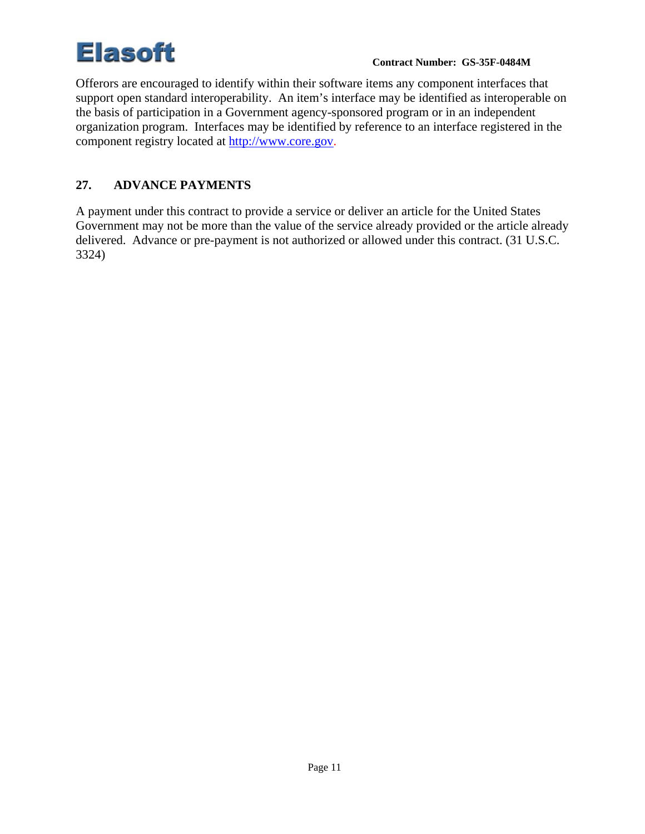Offerors are encouraged to identify within their software items any component interfaces that support open standard interoperability. An item's interface may be identified as interoperable on the basis of participation in a Government agency-sponsored program or in an independent organization program. Interfaces may be identified by reference to an interface registered in the component registry located at http://www.core.gov.

# **27. ADVANCE PAYMENTS**

A payment under this contract to provide a service or deliver an article for the United States Government may not be more than the value of the service already provided or the article already delivered. Advance or pre-payment is not authorized or allowed under this contract. (31 U.S.C. 3324)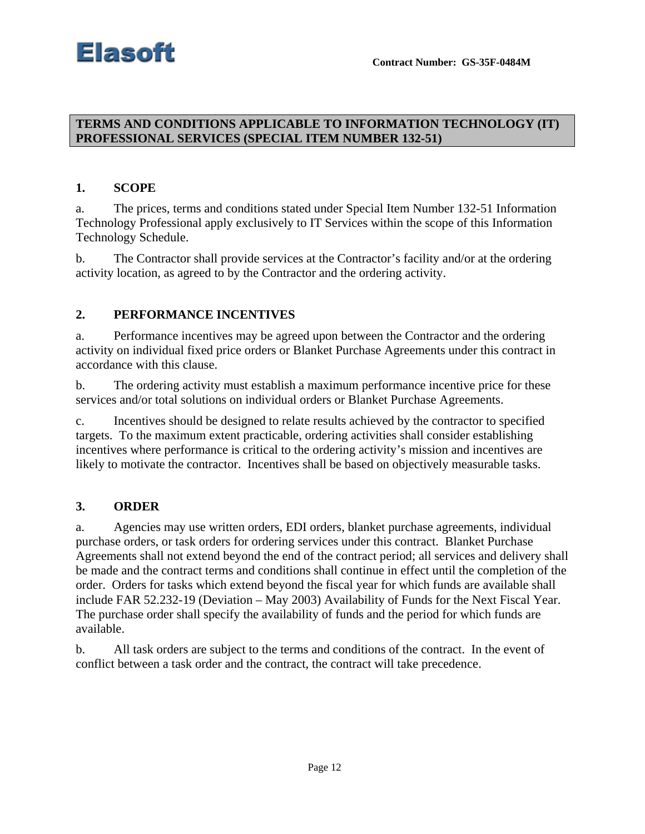### **TERMS AND CONDITIONS APPLICABLE TO INFORMATION TECHNOLOGY (IT) PROFESSIONAL SERVICES (SPECIAL ITEM NUMBER 132-51)**

#### **1. SCOPE**

a. The prices, terms and conditions stated under Special Item Number 132-51 Information Technology Professional apply exclusively to IT Services within the scope of this Information Technology Schedule.

b. The Contractor shall provide services at the Contractor's facility and/or at the ordering activity location, as agreed to by the Contractor and the ordering activity.

### **2. PERFORMANCE INCENTIVES**

a. Performance incentives may be agreed upon between the Contractor and the ordering activity on individual fixed price orders or Blanket Purchase Agreements under this contract in accordance with this clause.

b. The ordering activity must establish a maximum performance incentive price for these services and/or total solutions on individual orders or Blanket Purchase Agreements.

c. Incentives should be designed to relate results achieved by the contractor to specified targets. To the maximum extent practicable, ordering activities shall consider establishing incentives where performance is critical to the ordering activity's mission and incentives are likely to motivate the contractor. Incentives shall be based on objectively measurable tasks.

#### **3. ORDER**

a. Agencies may use written orders, EDI orders, blanket purchase agreements, individual purchase orders, or task orders for ordering services under this contract. Blanket Purchase Agreements shall not extend beyond the end of the contract period; all services and delivery shall be made and the contract terms and conditions shall continue in effect until the completion of the order. Orders for tasks which extend beyond the fiscal year for which funds are available shall include FAR 52.232-19 (Deviation – May 2003) Availability of Funds for the Next Fiscal Year. The purchase order shall specify the availability of funds and the period for which funds are available.

b. All task orders are subject to the terms and conditions of the contract. In the event of conflict between a task order and the contract, the contract will take precedence.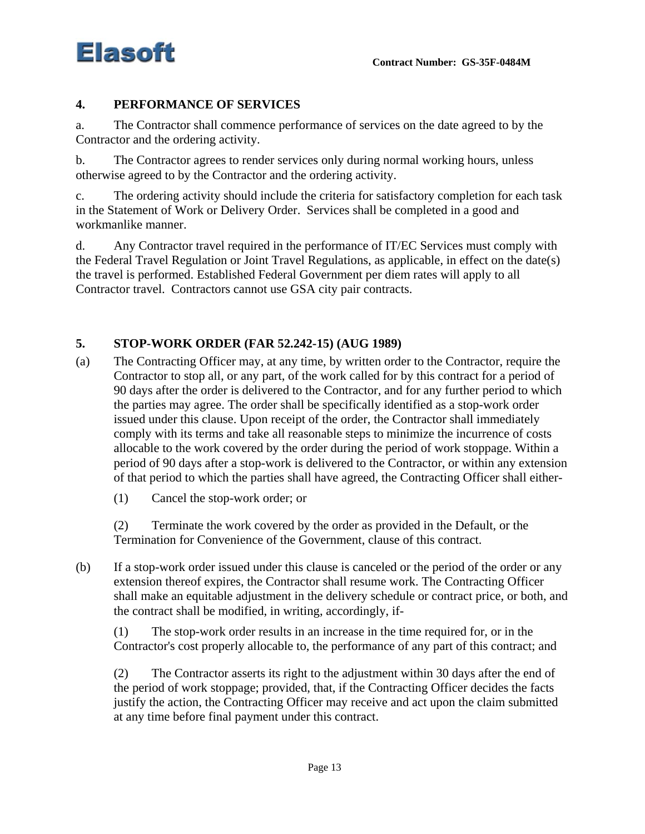

# **4. PERFORMANCE OF SERVICES**

a. The Contractor shall commence performance of services on the date agreed to by the Contractor and the ordering activity.

b. The Contractor agrees to render services only during normal working hours, unless otherwise agreed to by the Contractor and the ordering activity.

c. The ordering activity should include the criteria for satisfactory completion for each task in the Statement of Work or Delivery Order. Services shall be completed in a good and workmanlike manner.

d. Any Contractor travel required in the performance of IT/EC Services must comply with the Federal Travel Regulation or Joint Travel Regulations, as applicable, in effect on the date(s) the travel is performed. Established Federal Government per diem rates will apply to all Contractor travel. Contractors cannot use GSA city pair contracts.

### **5. STOP-WORK ORDER (FAR 52.242-15) (AUG 1989)**

- (a) The Contracting Officer may, at any time, by written order to the Contractor, require the Contractor to stop all, or any part, of the work called for by this contract for a period of 90 days after the order is delivered to the Contractor, and for any further period to which the parties may agree. The order shall be specifically identified as a stop-work order issued under this clause. Upon receipt of the order, the Contractor shall immediately comply with its terms and take all reasonable steps to minimize the incurrence of costs allocable to the work covered by the order during the period of work stoppage. Within a period of 90 days after a stop-work is delivered to the Contractor, or within any extension of that period to which the parties shall have agreed, the Contracting Officer shall either-
	- (1) Cancel the stop-work order; or

(2) Terminate the work covered by the order as provided in the Default, or the Termination for Convenience of the Government, clause of this contract.

(b) If a stop-work order issued under this clause is canceled or the period of the order or any extension thereof expires, the Contractor shall resume work. The Contracting Officer shall make an equitable adjustment in the delivery schedule or contract price, or both, and the contract shall be modified, in writing, accordingly, if-

(1) The stop-work order results in an increase in the time required for, or in the Contractor's cost properly allocable to, the performance of any part of this contract; and

(2) The Contractor asserts its right to the adjustment within 30 days after the end of the period of work stoppage; provided, that, if the Contracting Officer decides the facts justify the action, the Contracting Officer may receive and act upon the claim submitted at any time before final payment under this contract.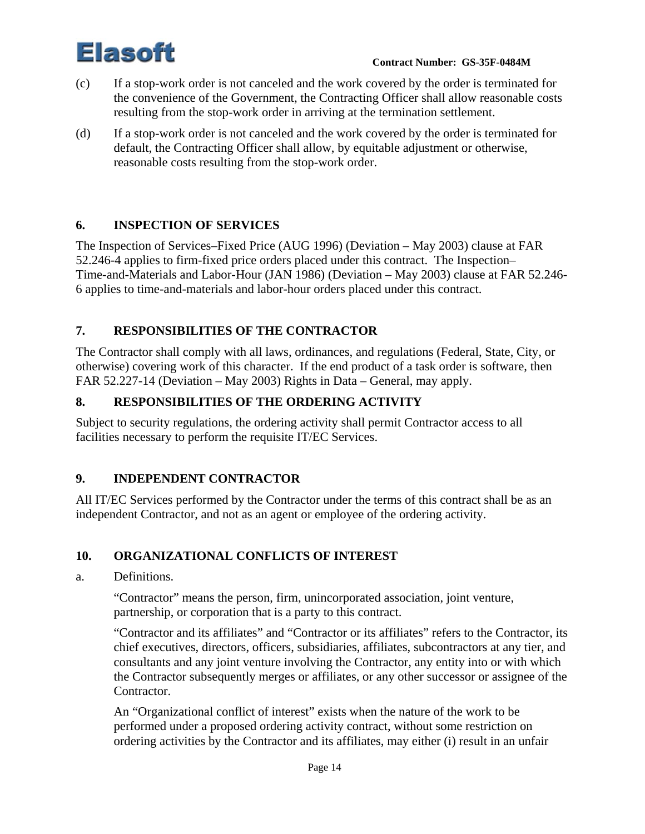

- (c) If a stop-work order is not canceled and the work covered by the order is terminated for the convenience of the Government, the Contracting Officer shall allow reasonable costs resulting from the stop-work order in arriving at the termination settlement.
- (d) If a stop-work order is not canceled and the work covered by the order is terminated for default, the Contracting Officer shall allow, by equitable adjustment or otherwise, reasonable costs resulting from the stop-work order.

# **6. INSPECTION OF SERVICES**

The Inspection of Services–Fixed Price (AUG 1996) (Deviation – May 2003) clause at FAR 52.246-4 applies to firm-fixed price orders placed under this contract. The Inspection– Time-and-Materials and Labor-Hour (JAN 1986) (Deviation – May 2003) clause at FAR 52.246- 6 applies to time-and-materials and labor-hour orders placed under this contract.

# **7. RESPONSIBILITIES OF THE CONTRACTOR**

The Contractor shall comply with all laws, ordinances, and regulations (Federal, State, City, or otherwise) covering work of this character. If the end product of a task order is software, then FAR 52.227-14 (Deviation – May 2003) Rights in Data – General, may apply.

# **8. RESPONSIBILITIES OF THE ORDERING ACTIVITY**

Subject to security regulations, the ordering activity shall permit Contractor access to all facilities necessary to perform the requisite IT/EC Services.

# **9. INDEPENDENT CONTRACTOR**

All IT/EC Services performed by the Contractor under the terms of this contract shall be as an independent Contractor, and not as an agent or employee of the ordering activity.

# **10. ORGANIZATIONAL CONFLICTS OF INTEREST**

#### a. Definitions.

"Contractor" means the person, firm, unincorporated association, joint venture, partnership, or corporation that is a party to this contract.

"Contractor and its affiliates" and "Contractor or its affiliates" refers to the Contractor, its chief executives, directors, officers, subsidiaries, affiliates, subcontractors at any tier, and consultants and any joint venture involving the Contractor, any entity into or with which the Contractor subsequently merges or affiliates, or any other successor or assignee of the Contractor.

An "Organizational conflict of interest" exists when the nature of the work to be performed under a proposed ordering activity contract, without some restriction on ordering activities by the Contractor and its affiliates, may either (i) result in an unfair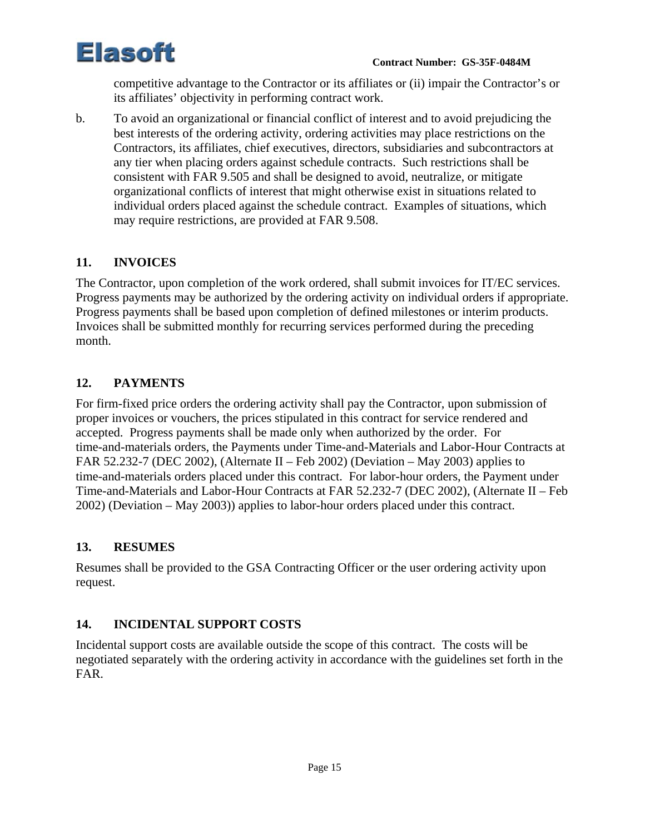

competitive advantage to the Contractor or its affiliates or (ii) impair the Contractor's or its affiliates' objectivity in performing contract work.

b. To avoid an organizational or financial conflict of interest and to avoid prejudicing the best interests of the ordering activity, ordering activities may place restrictions on the Contractors, its affiliates, chief executives, directors, subsidiaries and subcontractors at any tier when placing orders against schedule contracts. Such restrictions shall be consistent with FAR 9.505 and shall be designed to avoid, neutralize, or mitigate organizational conflicts of interest that might otherwise exist in situations related to individual orders placed against the schedule contract. Examples of situations, which may require restrictions, are provided at FAR 9.508.

# **11. INVOICES**

The Contractor, upon completion of the work ordered, shall submit invoices for IT/EC services. Progress payments may be authorized by the ordering activity on individual orders if appropriate. Progress payments shall be based upon completion of defined milestones or interim products. Invoices shall be submitted monthly for recurring services performed during the preceding month.

# **12. PAYMENTS**

For firm-fixed price orders the ordering activity shall pay the Contractor, upon submission of proper invoices or vouchers, the prices stipulated in this contract for service rendered and accepted. Progress payments shall be made only when authorized by the order. For time-and-materials orders, the Payments under Time-and-Materials and Labor-Hour Contracts at FAR 52.232-7 (DEC 2002), (Alternate II – Feb 2002) (Deviation – May 2003) applies to time-and-materials orders placed under this contract. For labor-hour orders, the Payment under Time-and-Materials and Labor-Hour Contracts at FAR 52.232-7 (DEC 2002), (Alternate II – Feb 2002) (Deviation – May 2003)) applies to labor-hour orders placed under this contract.

# **13. RESUMES**

Resumes shall be provided to the GSA Contracting Officer or the user ordering activity upon request.

# **14. INCIDENTAL SUPPORT COSTS**

Incidental support costs are available outside the scope of this contract. The costs will be negotiated separately with the ordering activity in accordance with the guidelines set forth in the FAR.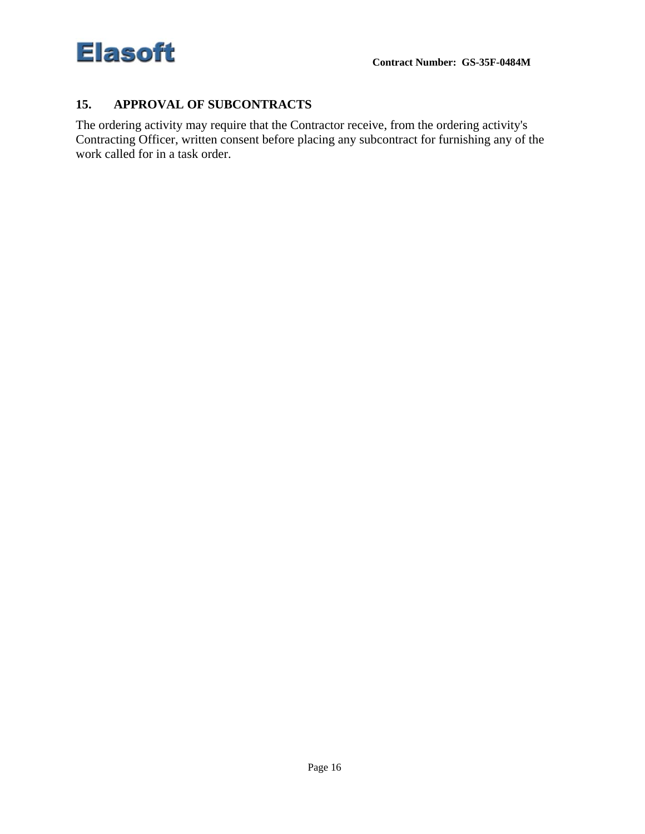

#### **15. APPROVAL OF SUBCONTRACTS**

The ordering activity may require that the Contractor receive, from the ordering activity's Contracting Officer, written consent before placing any subcontract for furnishing any of the work called for in a task order.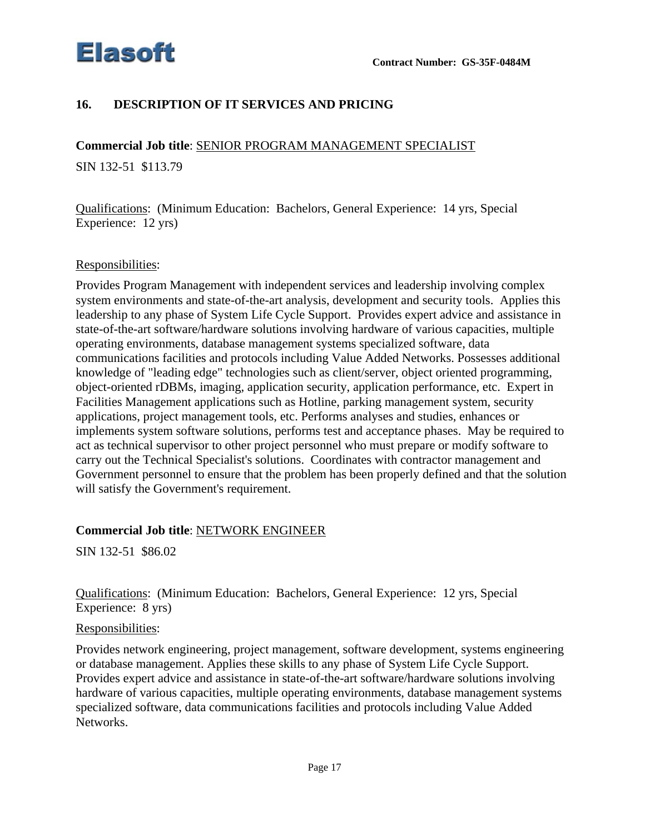

# **16. DESCRIPTION OF IT SERVICES AND PRICING**

**Commercial Job title**: SENIOR PROGRAM MANAGEMENT SPECIALIST

SIN 132-51 \$113.79

Qualifications: (Minimum Education: Bachelors, General Experience: 14 yrs, Special Experience: 12 yrs)

#### Responsibilities:

Provides Program Management with independent services and leadership involving complex system environments and state-of-the-art analysis, development and security tools. Applies this leadership to any phase of System Life Cycle Support. Provides expert advice and assistance in state-of-the-art software/hardware solutions involving hardware of various capacities, multiple operating environments, database management systems specialized software, data communications facilities and protocols including Value Added Networks. Possesses additional knowledge of "leading edge" technologies such as client/server, object oriented programming, object-oriented rDBMs, imaging, application security, application performance, etc. Expert in Facilities Management applications such as Hotline, parking management system, security applications, project management tools, etc. Performs analyses and studies, enhances or implements system software solutions, performs test and acceptance phases. May be required to act as technical supervisor to other project personnel who must prepare or modify software to carry out the Technical Specialist's solutions. Coordinates with contractor management and Government personnel to ensure that the problem has been properly defined and that the solution will satisfy the Government's requirement.

#### **Commercial Job title**: NETWORK ENGINEER

SIN 132-51 \$86.02

Qualifications: (Minimum Education: Bachelors, General Experience: 12 yrs, Special Experience: 8 yrs)

#### Responsibilities:

Provides network engineering, project management, software development, systems engineering or database management. Applies these skills to any phase of System Life Cycle Support. Provides expert advice and assistance in state-of-the-art software/hardware solutions involving hardware of various capacities, multiple operating environments, database management systems specialized software, data communications facilities and protocols including Value Added Networks.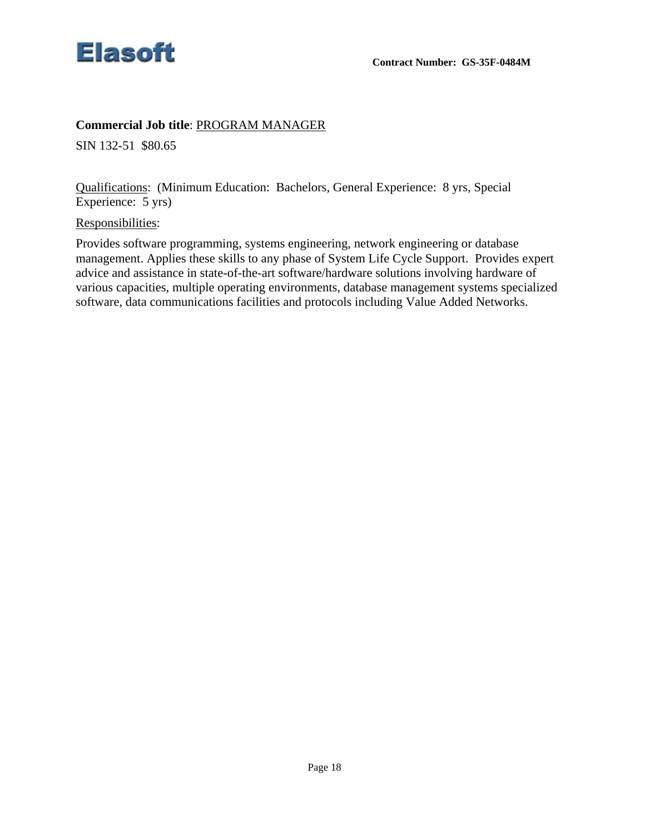

#### **Commercial Job title**: PROGRAM MANAGER

SIN 132-51 \$80.65

Qualifications: (Minimum Education: Bachelors, General Experience: 8 yrs, Special Experience: 5 yrs)

Responsibilities:

Provides software programming, systems engineering, network engineering or database management. Applies these skills to any phase of System Life Cycle Support. Provides expert advice and assistance in state-of-the-art software/hardware solutions involving hardware of various capacities, multiple operating environments, database management systems specialized software, data communications facilities and protocols including Value Added Networks.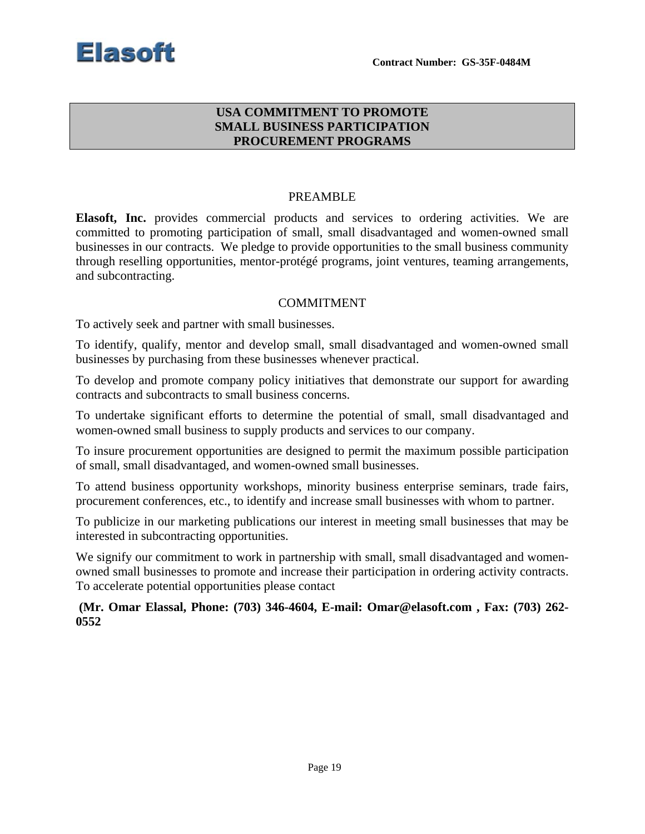

### **USA COMMITMENT TO PROMOTE SMALL BUSINESS PARTICIPATION PROCUREMENT PROGRAMS**

#### PREAMBLE

**Elasoft, Inc.** provides commercial products and services to ordering activities. We are committed to promoting participation of small, small disadvantaged and women-owned small businesses in our contracts. We pledge to provide opportunities to the small business community through reselling opportunities, mentor-protégé programs, joint ventures, teaming arrangements, and subcontracting.

#### COMMITMENT

To actively seek and partner with small businesses.

To identify, qualify, mentor and develop small, small disadvantaged and women-owned small businesses by purchasing from these businesses whenever practical.

To develop and promote company policy initiatives that demonstrate our support for awarding contracts and subcontracts to small business concerns.

To undertake significant efforts to determine the potential of small, small disadvantaged and women-owned small business to supply products and services to our company.

To insure procurement opportunities are designed to permit the maximum possible participation of small, small disadvantaged, and women-owned small businesses.

To attend business opportunity workshops, minority business enterprise seminars, trade fairs, procurement conferences, etc., to identify and increase small businesses with whom to partner.

To publicize in our marketing publications our interest in meeting small businesses that may be interested in subcontracting opportunities.

We signify our commitment to work in partnership with small, small disadvantaged and womenowned small businesses to promote and increase their participation in ordering activity contracts. To accelerate potential opportunities please contact

**(Mr. Omar Elassal, Phone: (703) 346-4604, E-mail: Omar@elasoft.com , Fax: (703) 262- 0552**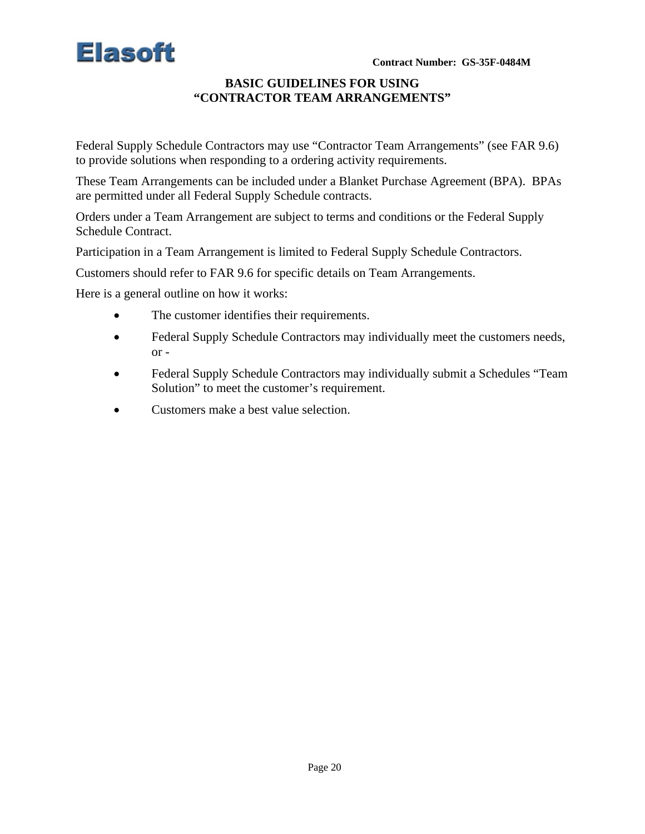

#### **BASIC GUIDELINES FOR USING "CONTRACTOR TEAM ARRANGEMENTS"**

Federal Supply Schedule Contractors may use "Contractor Team Arrangements" (see FAR 9.6) to provide solutions when responding to a ordering activity requirements.

These Team Arrangements can be included under a Blanket Purchase Agreement (BPA). BPAs are permitted under all Federal Supply Schedule contracts.

Orders under a Team Arrangement are subject to terms and conditions or the Federal Supply Schedule Contract.

Participation in a Team Arrangement is limited to Federal Supply Schedule Contractors.

Customers should refer to FAR 9.6 for specific details on Team Arrangements.

Here is a general outline on how it works:

- The customer identifies their requirements.
- Federal Supply Schedule Contractors may individually meet the customers needs, or -
- Federal Supply Schedule Contractors may individually submit a Schedules "Team Solution" to meet the customer's requirement.
- Customers make a best value selection.